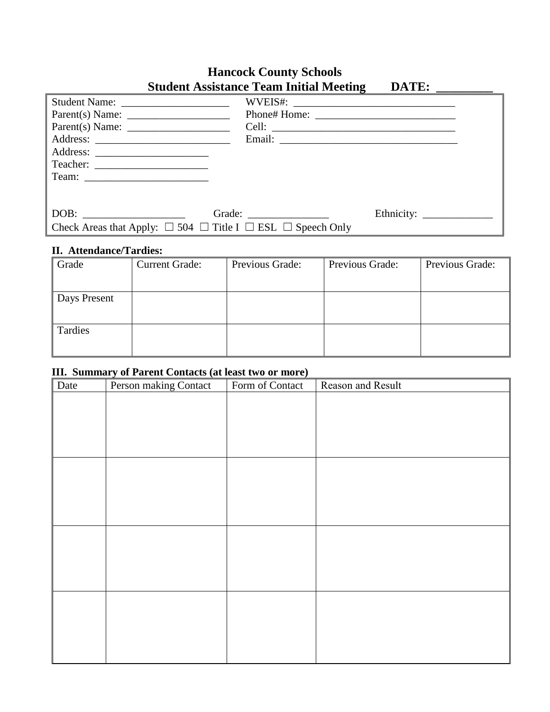# **Hancock County Schools Student Assistance Team Initial Meeting DATE: \_\_\_\_\_\_\_\_\_**

| Parent(s) Name:                                                                 |                        |  |
|---------------------------------------------------------------------------------|------------------------|--|
| Parent(s) Name:                                                                 |                        |  |
|                                                                                 |                        |  |
|                                                                                 |                        |  |
|                                                                                 |                        |  |
|                                                                                 |                        |  |
|                                                                                 |                        |  |
|                                                                                 | Grade: $\qquad \qquad$ |  |
| Check Areas that Apply: $\Box$ 504 $\Box$ Title I $\Box$ ESL $\Box$ Speech Only |                        |  |

### **II. Attendance/Tardies:**

| Grade        | <b>Current Grade:</b> | Previous Grade: | Previous Grade: | Previous Grade: |
|--------------|-----------------------|-----------------|-----------------|-----------------|
|              |                       |                 |                 |                 |
| Days Present |                       |                 |                 |                 |
|              |                       |                 |                 |                 |
| Tardies      |                       |                 |                 |                 |
|              |                       |                 |                 |                 |

# **III. Summary of Parent Contacts (at least two or more)**

| Reason and Result |
|-------------------|
|                   |
|                   |
|                   |
|                   |
|                   |
|                   |
|                   |
|                   |
|                   |
|                   |
|                   |
|                   |
|                   |
|                   |
|                   |
|                   |
|                   |
|                   |
|                   |
|                   |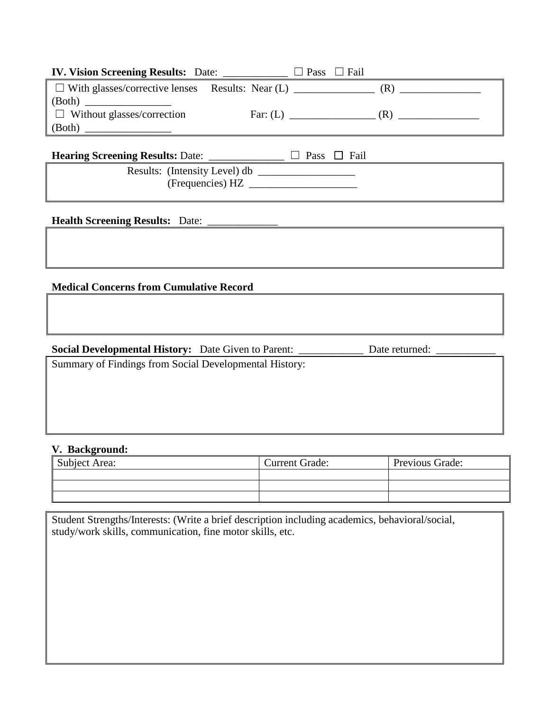|                                   | $\Box$ Pass $\Box$ Fail |     |
|-----------------------------------|-------------------------|-----|
|                                   |                         |     |
|                                   |                         |     |
| $\Box$ Without glasses/correction | Far: $(L)$              | (R) |
| (Both)                            |                         |     |
|                                   |                         |     |

**Hearing Screening Results:** Date: \_\_\_\_\_\_\_\_\_\_\_\_\_\_ ☐ Pass ☐ Fail

 Results: (Intensity Level) db \_\_\_\_\_\_\_\_\_\_\_\_\_\_\_\_\_\_ (Frequencies) HZ \_\_\_\_\_\_\_\_\_\_\_\_\_\_\_\_\_\_\_\_

**Health Screening Results:** Date: \_\_\_\_\_\_\_\_\_\_\_\_\_

## **Medical Concerns from Cumulative Record**

### **Social Developmental History:** Date Given to Parent: \_\_\_\_\_\_\_\_\_\_\_\_\_\_\_\_ Date returned:

Summary of Findings from Social Developmental History:

### **V. Background:**

| Subject Area: | <b>Current Grade:</b> | Previous Grade: |
|---------------|-----------------------|-----------------|
|               |                       |                 |
|               |                       |                 |
|               |                       |                 |

Student Strengths/Interests: (Write a brief description including academics, behavioral/social, study/work skills, communication, fine motor skills, etc.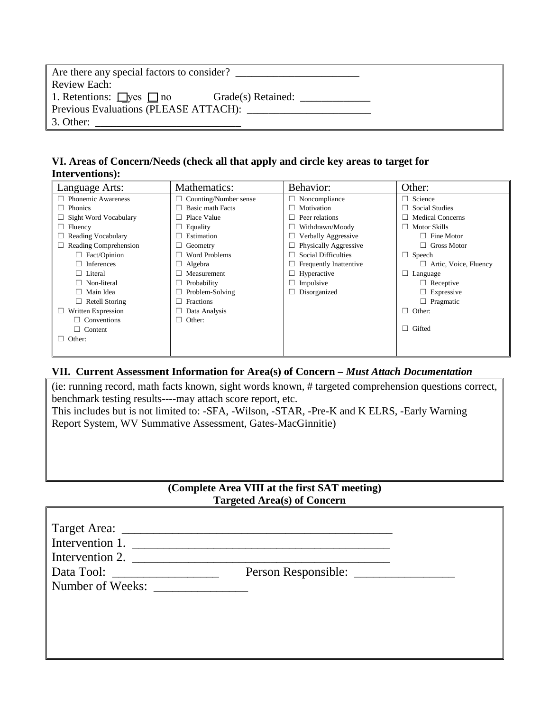| Are there any special factors to consider?                |  |
|-----------------------------------------------------------|--|
| Review Each:                                              |  |
| 1. Retentions: $\Box$ yes $\Box$ no<br>Grade(s) Retained: |  |
| Previous Evaluations (PLEASE ATTACH):                     |  |
| 3. Other:                                                 |  |

## **VI. Areas of Concern/Needs (check all that apply and circle key areas to target for Interventions):**

| Language Arts:            | Mathematics:                 | Behavior:                     | Other:                       |
|---------------------------|------------------------------|-------------------------------|------------------------------|
| <b>Phonemic Awareness</b> | $\Box$ Counting/Number sense | $\Box$ Noncompliance          | Science                      |
| Phonics                   | Basic math Facts<br>$\Box$   | Motivation<br>$\Box$          | <b>Social Studies</b>        |
| Sight Word Vocabulary     | Place Value                  | Peer relations                | <b>Medical Concerns</b>      |
| Fluency                   | $\Box$ Equality              | Withdrawn/Moody               | Motor Skills                 |
| <b>Reading Vocabulary</b> | Estimation                   | Verbally Aggressive           | Fine Motor                   |
| Reading Comprehension     | Geometry                     | Physically Aggressive         | <b>Gross Motor</b>           |
| Fact/Opinion              | Word Problems                | <b>Social Difficulties</b>    | $\Box$ Speech                |
| Inferences                | $\Box$ Algebra               | <b>Frequently Inattentive</b> | $\Box$ Artic, Voice, Fluency |
| Literal                   | Measurement                  | Hyperactive                   | Language                     |
| Non-literal               | $\Box$ Probability           | Impulsive<br>⊔                | $\Box$ Receptive             |
| Main Idea                 | $\Box$ Problem-Solving       | Disorganized<br>⊔             | $\Box$ Expressive            |
| Retell Storing            | Fractions                    |                               | $\Box$ Pragmatic             |
| Written Expression        | $\Box$ Data Analysis         |                               | $\Box$ Other:                |
| $\Box$ Conventions        | $\Box$ Other:                |                               |                              |
| $\Box$ Content            |                              |                               | $\Box$ Gifted                |
| Other:                    |                              |                               |                              |
|                           |                              |                               |                              |

## **VII. Current Assessment Information for Area(s) of Concern –** *Must Attach Documentation*

(ie: running record, math facts known, sight words known, # targeted comprehension questions correct, benchmark testing results----may attach score report, etc. This includes but is not limited to: -SFA, -Wilson, -STAR, -Pre-K and K ELRS, -Early Warning Report System, WV Summative Assessment, Gates-MacGinnitie)

# **(Complete Area VIII at the first SAT meeting) Targeted Area(s) of Concern**

| Intervention 1.               |  |
|-------------------------------|--|
| Intervention 2. $\frac{1}{2}$ |  |
|                               |  |
| Number of Weeks:              |  |
|                               |  |
|                               |  |
|                               |  |
|                               |  |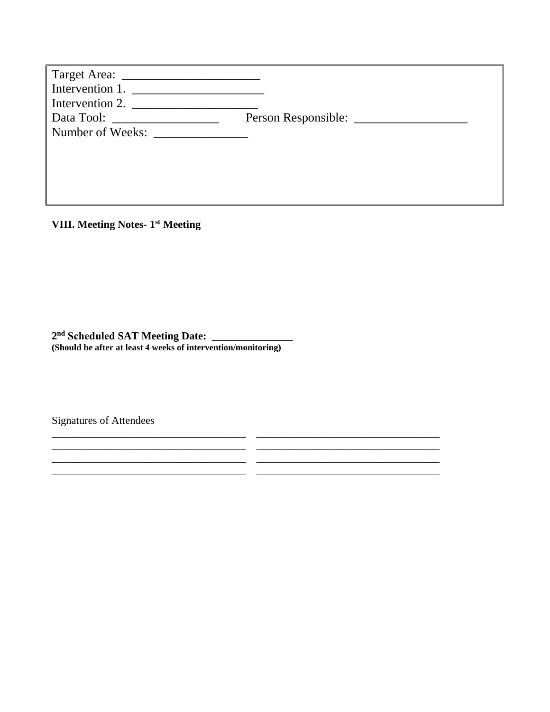| Intervention 1.<br>Intervention 2.                |  |
|---------------------------------------------------|--|
| Data Tool: __________________<br>Number of Weeks: |  |

\_\_\_\_\_\_\_\_\_\_\_\_\_\_\_\_\_\_\_\_\_\_\_\_\_\_\_\_\_\_\_\_\_\_\_\_ \_\_\_\_\_\_\_\_\_\_\_\_\_\_\_\_\_\_\_\_\_\_\_\_\_\_\_\_\_\_\_\_\_\_ \_\_\_\_\_\_\_\_\_\_\_\_\_\_\_\_\_\_\_\_\_\_\_\_\_\_\_\_\_\_\_\_\_\_\_\_ \_\_\_\_\_\_\_\_\_\_\_\_\_\_\_\_\_\_\_\_\_\_\_\_\_\_\_\_\_\_\_\_\_\_ \_\_\_\_\_\_\_\_\_\_\_\_\_\_\_\_\_\_\_\_\_\_\_\_\_\_\_\_\_\_\_\_\_\_\_\_ \_\_\_\_\_\_\_\_\_\_\_\_\_\_\_\_\_\_\_\_\_\_\_\_\_\_\_\_\_\_\_\_\_\_ \_\_\_\_\_\_\_\_\_\_\_\_\_\_\_\_\_\_\_\_\_\_\_\_\_\_\_\_\_\_\_\_\_\_\_\_ \_\_\_\_\_\_\_\_\_\_\_\_\_\_\_\_\_\_\_\_\_\_\_\_\_\_\_\_\_\_\_\_\_\_

**VIII. Meeting Notes- 1st Meeting**

**2 nd Scheduled SAT Meeting Date:** \_\_\_\_\_\_\_\_\_\_\_\_\_\_\_ **(Should be after at least 4 weeks of intervention/monitoring)**

Signatures of Attendees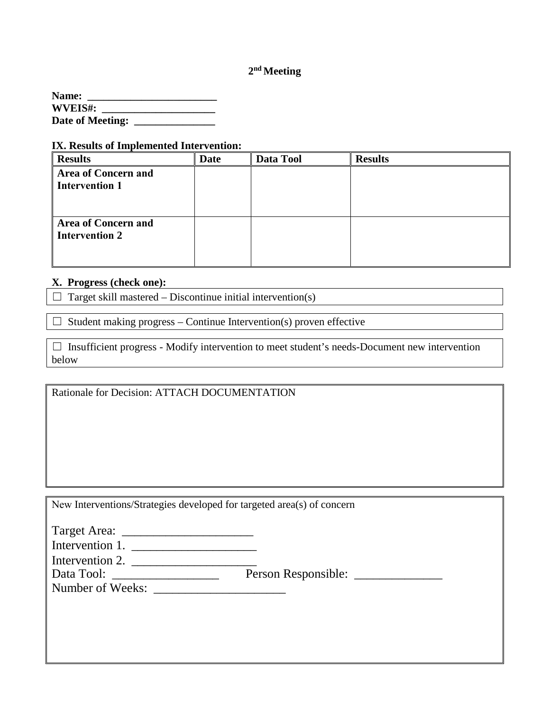# **2nd Meeting**

**Name: \_\_\_\_\_\_\_\_\_\_\_\_\_\_\_\_\_\_\_\_\_\_\_\_ WVEIS#: \_\_\_\_\_\_\_\_\_\_\_\_\_\_\_\_\_\_\_\_\_ Date of Meeting: \_\_\_\_\_\_\_\_\_\_\_\_\_\_\_**

#### **IX. Results of Implemented Intervention:**

| <b>Results</b>                                      | <b>Date</b> | Data Tool | <b>Results</b> |
|-----------------------------------------------------|-------------|-----------|----------------|
| <b>Area of Concern and</b><br><b>Intervention 1</b> |             |           |                |
| <b>Area of Concern and</b><br><b>Intervention 2</b> |             |           |                |

### **X. Progress (check one):**

 $\Box$  Target skill mastered – Discontinue initial intervention(s)

 $\Box$  Student making progress – Continue Intervention(s) proven effective

 $\Box$  Insufficient progress - Modify intervention to meet student's needs-Document new intervention below

Rationale for Decision: ATTACH DOCUMENTATION

New Interventions/Strategies developed for targeted area(s) of concern

| Intervention 1.  |                     |
|------------------|---------------------|
| Intervention 2.  |                     |
| Data Tool:       | Person Responsible: |
| Number of Weeks: |                     |
|                  |                     |
|                  |                     |
|                  |                     |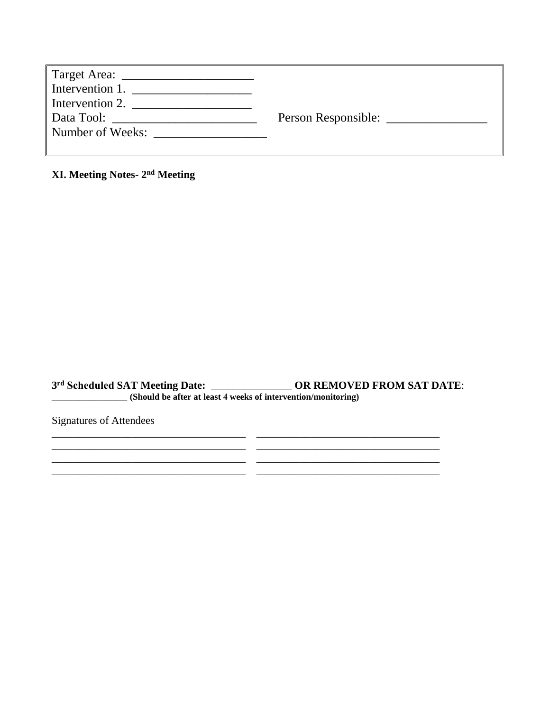| Target Area: ________________                                                                                                                                                                                                  |                     |
|--------------------------------------------------------------------------------------------------------------------------------------------------------------------------------------------------------------------------------|---------------------|
| Intervention 1.                                                                                                                                                                                                                |                     |
| Intervention 2.                                                                                                                                                                                                                |                     |
| Data Tool: The Contract of the Contract of the Contract of the Contract of the Contract of the Contract of the Contract of the Contract of the Contract of the Contract of the Contract of the Contract of the Contract of the | Person Responsible: |
| Number of Weeks:<br><u> 1980 - Jan Barbarat, prima programa postajno de la programa por estas por estas por estas por estas por estas </u>                                                                                     |                     |
|                                                                                                                                                                                                                                |                     |

**XI. Meeting Notes- 2nd Meeting**

**3 rd Scheduled SAT Meeting Date:** \_\_\_\_\_\_\_\_\_\_\_\_\_\_\_ **OR REMOVED FROM SAT DATE**: \_\_\_\_\_\_\_\_\_\_\_\_\_\_ **(Should be after at least 4 weeks of intervention/monitoring)**

\_\_\_\_\_\_\_\_\_\_\_\_\_\_\_\_\_\_\_\_\_\_\_\_\_\_\_\_\_\_\_\_\_\_\_\_ \_\_\_\_\_\_\_\_\_\_\_\_\_\_\_\_\_\_\_\_\_\_\_\_\_\_\_\_\_\_\_\_\_\_

\_\_\_\_\_\_\_\_\_\_\_\_\_\_\_\_\_\_\_\_\_\_\_\_\_\_\_\_\_\_\_\_\_\_\_\_ \_\_\_\_\_\_\_\_\_\_\_\_\_\_\_\_\_\_\_\_\_\_\_\_\_\_\_\_\_\_\_\_\_\_ \_\_\_\_\_\_\_\_\_\_\_\_\_\_\_\_\_\_\_\_\_\_\_\_\_\_\_\_\_\_\_\_\_\_\_\_ \_\_\_\_\_\_\_\_\_\_\_\_\_\_\_\_\_\_\_\_\_\_\_\_\_\_\_\_\_\_\_\_\_\_

Signatures of Attendees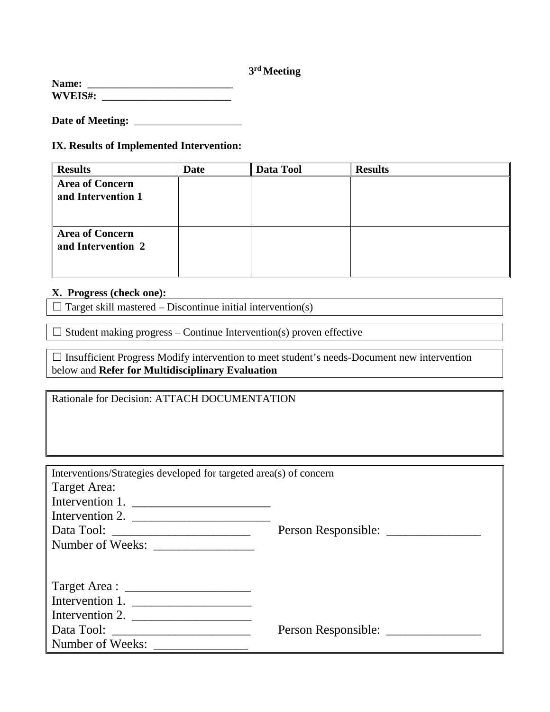# **3rd Meeting**

| Name:          |  |
|----------------|--|
| <b>WVEIS#:</b> |  |

**Date of Meeting:** \_\_\_\_\_\_\_\_\_\_\_\_\_\_\_\_\_\_\_\_

# **IX. Results of Implemented Intervention:**

| <b>Results</b>                               | <b>Date</b> | Data Tool | <b>Results</b> |
|----------------------------------------------|-------------|-----------|----------------|
| <b>Area of Concern</b><br>and Intervention 1 |             |           |                |
| <b>Area of Concern</b><br>and Intervention 2 |             |           |                |

## **X. Progress (check one):**

 $\Box$  Target skill mastered – Discontinue initial intervention(s)

 $\Box$  Student making progress – Continue Intervention(s) proven effective

| $\Box$ Insufficient Progress Modify intervention to meet student's needs-Document new intervention |  |
|----------------------------------------------------------------------------------------------------|--|
| below and Refer for Multidisciplinary Evaluation                                                   |  |

Rationale for Decision: ATTACH DOCUMENTATION

| Interventions/Strategies developed for targeted area(s) of concern |                     |  |  |
|--------------------------------------------------------------------|---------------------|--|--|
| Target Area:                                                       |                     |  |  |
| Intervention 1.                                                    |                     |  |  |
| Intervention 2. $\frac{1}{2}$                                      |                     |  |  |
|                                                                    |                     |  |  |
|                                                                    |                     |  |  |
|                                                                    |                     |  |  |
|                                                                    |                     |  |  |
|                                                                    |                     |  |  |
| Intervention 1.                                                    |                     |  |  |
| Intervention 2. $\frac{1}{\sqrt{1-\frac{1}{2}} \cdot \frac{1}{2}}$ |                     |  |  |
|                                                                    | Person Responsible: |  |  |
| Number of Weeks:                                                   |                     |  |  |